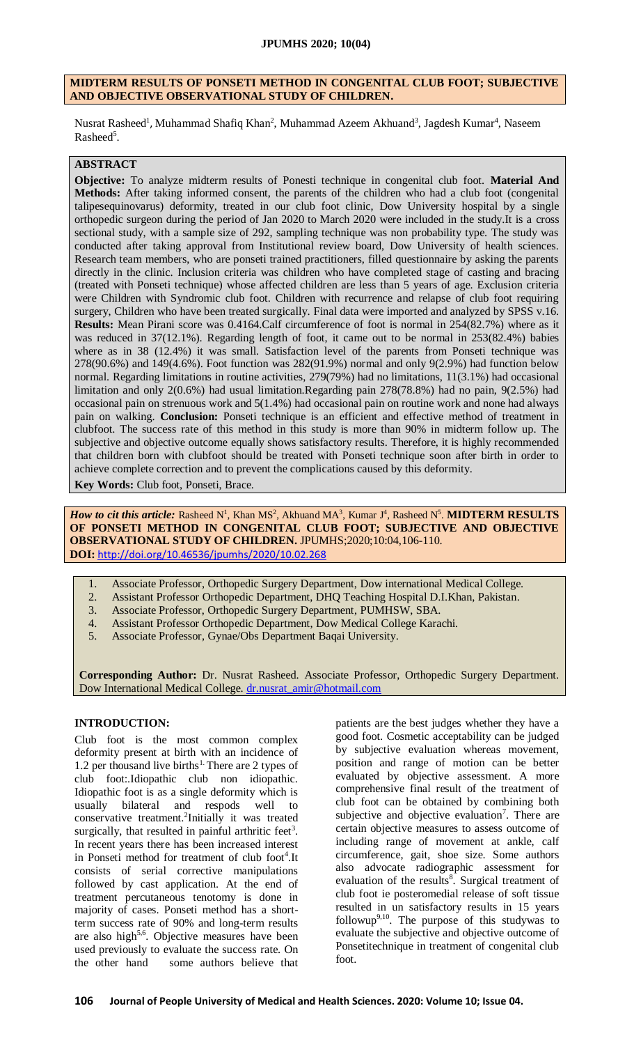#### **JPUMHS 2020; 10(04)**

#### **MIDTERM RESULTS OF PONSETI METHOD IN CONGENITAL CLUB FOOT; SUBJECTIVE AND OBJECTIVE OBSERVATIONAL STUDY OF CHILDREN.**

Nusrat Rasheed<sup>1</sup>, Muhammad Shafiq Khan<sup>2</sup>, Muhammad Azeem Akhuand<sup>3</sup>, Jagdesh Kumar<sup>4</sup>, Naseem Rasheed<sup>5</sup>.

# **ABSTRACT**

**Objective:** To analyze midterm results of Ponesti technique in congenital club foot. **Material And Methods:** After taking informed consent, the parents of the children who had a club foot (congenital talipesequinovarus) deformity, treated in our club foot clinic, Dow University hospital by a single orthopedic surgeon during the period of Jan 2020 to March 2020 were included in the study.It is a cross sectional study, with a sample size of 292, sampling technique was non probability type. The study was conducted after taking approval from Institutional review board, Dow University of health sciences. Research team members, who are ponseti trained practitioners, filled questionnaire by asking the parents directly in the clinic. Inclusion criteria was children who have completed stage of casting and bracing (treated with Ponseti technique) whose affected children are less than 5 years of age. Exclusion criteria were Children with Syndromic club foot. Children with recurrence and relapse of club foot requiring surgery, Children who have been treated surgically. Final data were imported and analyzed by SPSS v.16. **Results:** Mean Pirani score was 0.4164.Calf circumference of foot is normal in 254(82.7%) where as it was reduced in 37(12.1%). Regarding length of foot, it came out to be normal in 253(82.4%) babies where as in 38 (12.4%) it was small. Satisfaction level of the parents from Ponseti technique was 278(90.6%) and 149(4.6%). Foot function was 282(91.9%) normal and only 9(2.9%) had function below normal. Regarding limitations in routine activities, 279(79%) had no limitations, 11(3.1%) had occasional limitation and only 2(0.6%) had usual limitation.Regarding pain 278(78.8%) had no pain, 9(2.5%) had occasional pain on strenuous work and 5(1.4%) had occasional pain on routine work and none had always pain on walking. **Conclusion:** Ponseti technique is an efficient and effective method of treatment in clubfoot. The success rate of this method in this study is more than 90% in midterm follow up. The subjective and objective outcome equally shows satisfactory results. Therefore, it is highly recommended that children born with clubfoot should be treated with Ponseti technique soon after birth in order to achieve complete correction and to prevent the complications caused by this deformity.

**Key Words:** Club foot, Ponseti, Brace.

*How to cit this article:* Rasheed N<sup>1</sup>, Khan MS<sup>2</sup>, Akhuand MA<sup>3</sup>, Kumar J<sup>4</sup>, Rasheed N<sup>5</sup>. **MIDTERM RESULTS OF PONSETI METHOD IN CONGENITAL CLUB FOOT; SUBJECTIVE AND OBJECTIVE OBSERVATIONAL STUDY OF CHILDREN.** JPUMHS;2020;10:04,106-110. **DOI:** <http://doi.org/10.46536/jpumhs/2020/10.02.268>

- 1. Associate Professor, Orthopedic Surgery Department, Dow international Medical College.
- 2. Assistant Professor Orthopedic Department, DHQ Teaching Hospital D.I.Khan, Pakistan.
- 3. Associate Professor, Orthopedic Surgery Department, PUMHSW, SBA.
- 4. Assistant Professor Orthopedic Department, Dow Medical College Karachi.
- 5. Associate Professor, Gynae/Obs Department Baqai University.

**Corresponding Author:** Dr. Nusrat Rasheed. Associate Professor, Orthopedic Surgery Department. Dow International Medical College. [dr.nusrat\\_amir@hotmail.com](mailto:dr.nusrat_amir@hotmail.com)

## **INTRODUCTION:**

Club foot is the most common complex deformity present at birth with an incidence of 1.2 per thousand live births<sup>1.</sup> There are 2 types of club foot:.Idiopathic club non idiopathic. Idiopathic foot is as a single deformity which is usually bilateral and respods well to conservative treatment.<sup>2</sup>Initially it was treated surgically, that resulted in painful arthritic feet<sup>3</sup>. In recent years there has been increased interest in Ponseti method for treatment of club foot<sup>4</sup>.It consists of serial corrective manipulations followed by cast application. At the end of treatment percutaneous tenotomy is done in majority of cases. Ponseti method has a shortterm success rate of 90% and long-term results are also high<sup>5,6</sup>. Objective measures have been used previously to evaluate the success rate. On the other hand some authors believe that

patients are the best judges whether they have a good foot. Cosmetic acceptability can be judged by subjective evaluation whereas movement, position and range of motion can be better evaluated by objective assessment. A more comprehensive final result of the treatment of club foot can be obtained by combining both subjective and objective evaluation<sup>7</sup>. There are certain objective measures to assess outcome of including range of movement at ankle, calf circumference, gait, shoe size. Some authors also advocate radiographic assessment for evaluation of the results<sup>8</sup>. Surgical treatment of club foot ie posteromedial release of soft tissue resulted in un satisfactory results in 15 years followup<sup>9,10</sup>. The purpose of this studywas to evaluate the subjective and objective outcome of Ponsetitechnique in treatment of congenital club foot.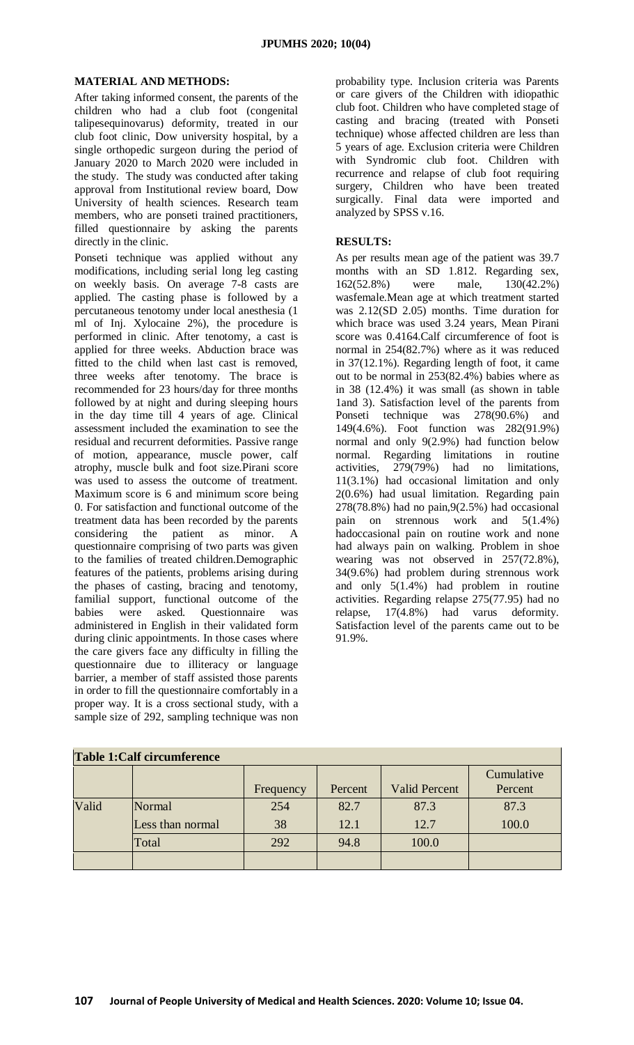#### **MATERIAL AND METHODS:**

After taking informed consent, the parents of the children who had a club foot (congenital talipesequinovarus) deformity, treated in our club foot clinic, Dow university hospital, by a single orthopedic surgeon during the period of January 2020 to March 2020 were included in the study. The study was conducted after taking approval from Institutional review board, Dow University of health sciences. Research team members, who are ponseti trained practitioners, filled questionnaire by asking the parents directly in the clinic.

Ponseti technique was applied without any modifications, including serial long leg casting on weekly basis. On average 7-8 casts are applied. The casting phase is followed by a percutaneous tenotomy under local anesthesia (1 ml of Inj. Xylocaine 2%), the procedure is performed in clinic. After tenotomy, a cast is applied for three weeks. Abduction brace was fitted to the child when last cast is removed, three weeks after tenotomy. The brace is recommended for 23 hours/day for three months followed by at night and during sleeping hours in the day time till 4 years of age. Clinical assessment included the examination to see the residual and recurrent deformities. Passive range of motion, appearance, muscle power, calf atrophy, muscle bulk and foot size.Pirani score was used to assess the outcome of treatment. Maximum score is 6 and minimum score being 0. For satisfaction and functional outcome of the treatment data has been recorded by the parents considering the patient as minor. A questionnaire comprising of two parts was given to the families of treated children.Demographic features of the patients, problems arising during the phases of casting, bracing and tenotomy, familial support, functional outcome of the babies were asked. Questionnaire was administered in English in their validated form during clinic appointments. In those cases where the care givers face any difficulty in filling the questionnaire due to illiteracy or language barrier, a member of staff assisted those parents in order to fill the questionnaire comfortably in a proper way. It is a cross sectional study, with a sample size of 292, sampling technique was non

probability type. Inclusion criteria was Parents or care givers of the Children with idiopathic club foot. Children who have completed stage of casting and bracing (treated with Ponseti technique) whose affected children are less than 5 years of age. Exclusion criteria were Children with Syndromic club foot. Children with recurrence and relapse of club foot requiring surgery, Children who have been treated surgically. Final data were imported and analyzed by SPSS v.16.

## **RESULTS:**

As per results mean age of the patient was 39.7 months with an SD 1.812. Regarding sex, 162(52.8%) were male, 130(42.2%) wasfemale.Mean age at which treatment started was 2.12(SD 2.05) months. Time duration for which brace was used 3.24 years, Mean Pirani score was 0.4164.Calf circumference of foot is normal in 254(82.7%) where as it was reduced in 37(12.1%). Regarding length of foot, it came out to be normal in 253(82.4%) babies where as in 38 (12.4%) it was small (as shown in table 1and 3). Satisfaction level of the parents from Ponseti technique was 278(90.6%) and 149(4.6%). Foot function was 282(91.9%) normal and only 9(2.9%) had function below normal. Regarding limitations in routine activities, 279(79%) had no limitations, 11(3.1%) had occasional limitation and only 2(0.6%) had usual limitation. Regarding pain  $278(78.8%)$  had no pain,  $9(2.5%)$  had occasional pain on strennous work and 5(1.4%) hadoccasional pain on routine work and none had always pain on walking. Problem in shoe wearing was not observed in 257(72.8%), 34(9.6%) had problem during strennous work and only 5(1.4%) had problem in routine activities. Regarding relapse 275(77.95) had no relapse, 17(4.8%) had varus deformity. Satisfaction level of the parents came out to be 91.9%.

| Table 1: Calf circumference |                  |           |         |                      |                       |  |  |
|-----------------------------|------------------|-----------|---------|----------------------|-----------------------|--|--|
|                             |                  | Frequency | Percent | <b>Valid Percent</b> | Cumulative<br>Percent |  |  |
| Valid                       | Normal           | 254       | 82.7    | 87.3                 | 87.3                  |  |  |
|                             | Less than normal | 38        | 12.1    | 12.7                 | 100.0                 |  |  |
|                             | Total            | 292       | 94.8    | 100.0                |                       |  |  |
|                             |                  |           |         |                      |                       |  |  |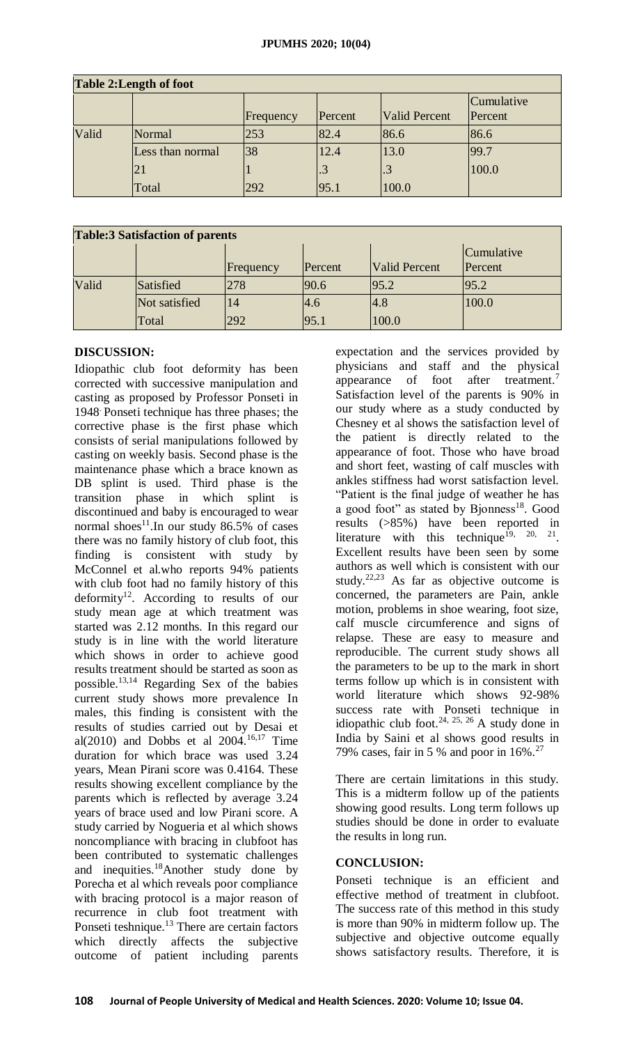| Table 2: Length of foot |                  |           |         |                      |            |  |  |
|-------------------------|------------------|-----------|---------|----------------------|------------|--|--|
|                         |                  |           |         |                      | Cumulative |  |  |
|                         |                  | Frequency | Percent | <b>Valid Percent</b> | Percent    |  |  |
| Valid                   | Normal           | 253       | 82.4    | 86.6                 | 86.6       |  |  |
|                         | Less than normal | 38        | 12.4    | 13.0                 | 99.7       |  |  |
|                         | 21               |           |         |                      | 100.0      |  |  |
|                         | Total            | 292       | 95.1    | 100.0                |            |  |  |

### **Table:3 Satisfaction of parents**

| Tubicio buthluction of purches |               |           |         |                      |                       |  |  |
|--------------------------------|---------------|-----------|---------|----------------------|-----------------------|--|--|
|                                |               | Frequency | Percent | <b>Valid Percent</b> | Cumulative<br>Percent |  |  |
| Valid                          | Satisfied     | 278       | 90.6    | 95.2                 | 95.2                  |  |  |
|                                | Not satisfied | 14        | 4.6     | 4.8                  | 100.0                 |  |  |
|                                | Total         | 292       | 95.1    | 100.0                |                       |  |  |

# **DISCUSSION:**

Idiopathic club foot deformity has been corrected with successive manipulation and casting as proposed by Professor Ponseti in 1948. Ponseti technique has three phases; the corrective phase is the first phase which consists of serial manipulations followed by casting on weekly basis. Second phase is the maintenance phase which a brace known as DB splint is used. Third phase is the transition phase in which splint is discontinued and baby is encouraged to wear normal shoes<sup>11</sup>.In our study 86.5% of cases there was no family history of club foot, this finding is consistent with study by McConnel et al.who reports 94% patients with club foot had no family history of this deformity<sup>12</sup>. According to results of our study mean age at which treatment was started was 2.12 months. In this regard our study is in line with the world literature which shows in order to achieve good results treatment should be started as soon as possible.13,14 Regarding Sex of the babies current study shows more prevalence In males, this finding is consistent with the results of studies carried out by Desai et al(2010) and Dobbs et al  $2004$ ,  $^{16,17}$  Time duration for which brace was used 3.24 years, Mean Pirani score was 0.4164. These results showing excellent compliance by the parents which is reflected by average 3.24 years of brace used and low Pirani score. A study carried by Nogueria et al which shows noncompliance with bracing in clubfoot has been contributed to systematic challenges and inequities.<sup>18</sup>Another study done by Porecha et al which reveals poor compliance with bracing protocol is a major reason of recurrence in club foot treatment with Ponseti teshnique.<sup>13</sup> There are certain factors which directly affects the subjective outcome of patient including parents

expectation and the services provided by physicians and staff and the physical appearance of foot after treatment.<sup>7</sup> Satisfaction level of the parents is 90% in our study where as a study conducted by Chesney et al shows the satisfaction level of the patient is directly related to the appearance of foot. Those who have broad and short feet, wasting of calf muscles with ankles stiffness had worst satisfaction level. "Patient is the final judge of weather he has a good foot" as stated by Bjonness<sup>18</sup>. Good results (>85%) have been reported in literature with this technique<sup>19, 20, 21</sup>. Excellent results have been seen by some authors as well which is consistent with our study.<sup>22,23</sup> As far as objective outcome is concerned, the parameters are Pain, ankle motion, problems in shoe wearing, foot size, calf muscle circumference and signs of relapse. These are easy to measure and reproducible. The current study shows all the parameters to be up to the mark in short terms follow up which is in consistent with world literature which shows 92-98% success rate with Ponseti technique in idiopathic club foot.<sup>24, 25, 26</sup> A study done in India by Saini et al shows good results in 79% cases, fair in 5 % and poor in  $16\%$ .<sup>27</sup>

There are certain limitations in this study. This is a midterm follow up of the patients showing good results. Long term follows up studies should be done in order to evaluate the results in long run.

## **CONCLUSION:**

Ponseti technique is an efficient and effective method of treatment in clubfoot. The success rate of this method in this study is more than 90% in midterm follow up. The subjective and objective outcome equally shows satisfactory results. Therefore, it is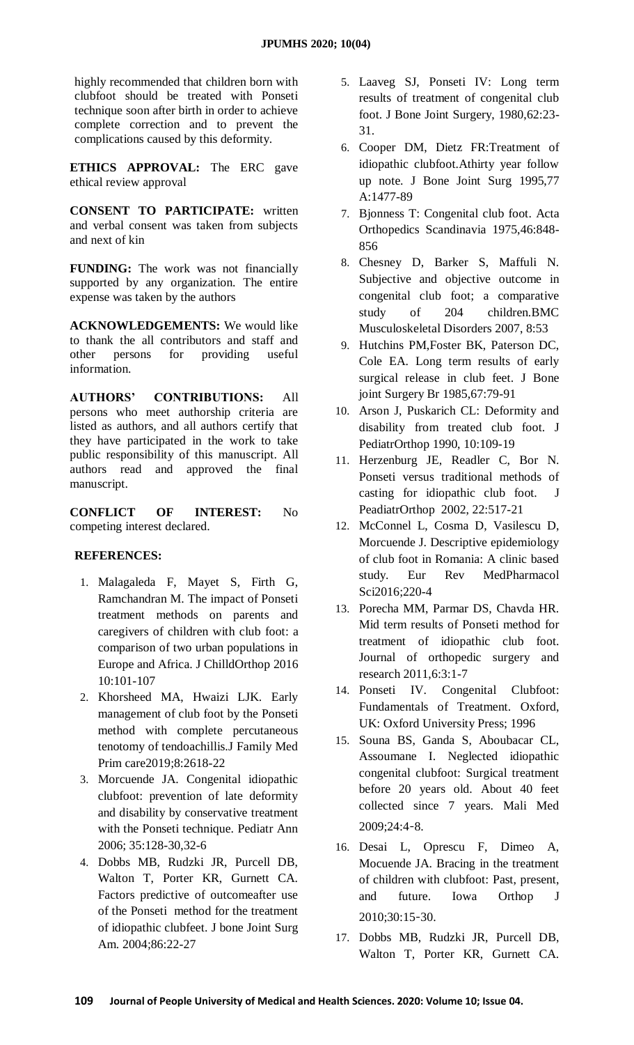highly recommended that children born with clubfoot should be treated with Ponseti technique soon after birth in order to achieve complete correction and to prevent the complications caused by this deformity.

**ETHICS APPROVAL:** The ERC gave ethical review approval

**CONSENT TO PARTICIPATE:** written and verbal consent was taken from subjects and next of kin

**FUNDING:** The work was not financially supported by any organization. The entire expense was taken by the authors

**ACKNOWLEDGEMENTS:** We would like to thank the all contributors and staff and other persons for providing useful information.

**AUTHORS' CONTRIBUTIONS:** All persons who meet authorship criteria are listed as authors, and all authors certify that they have participated in the work to take public responsibility of this manuscript. All authors read and approved the final manuscript.

**CONFLICT OF INTEREST:** No competing interest declared.

# **REFERENCES:**

- 1. Malagaleda F, Mayet S, Firth G, Ramchandran M. The impact of Ponseti treatment methods on parents and caregivers of children with club foot: a comparison of two urban populations in Europe and Africa. J ChilldOrthop 2016 10:101-107
- 2. Khorsheed MA, Hwaizi LJK. Early management of club foot by the Ponseti method with complete percutaneous tenotomy of tendoachillis.J Family Med Prim care2019;8:2618-22
- 3. Morcuende JA. Congenital idiopathic clubfoot: prevention of late deformity and disability by conservative treatment with the Ponseti technique. Pediatr Ann 2006; 35:128-30,32-6
- 4. Dobbs MB, Rudzki JR, Purcell DB, Walton T, Porter KR, Gurnett CA. Factors predictive of outcomeafter use of the Ponseti method for the treatment of idiopathic clubfeet. J bone Joint Surg Am. 2004;86:22-27
- 5. Laaveg SJ, Ponseti IV: Long term results of treatment of congenital club foot. J Bone Joint Surgery, 1980,62:23- 31.
- 6. Cooper DM, Dietz FR:Treatment of idiopathic clubfoot.Athirty year follow up note. J Bone Joint Surg 1995,77 A:1477-89
- 7. Bjonness T: Congenital club foot. Acta Orthopedics Scandinavia 1975,46:848- 856
- 8. Chesney D, Barker S, Maffuli N. Subjective and objective outcome in congenital club foot; a comparative study of 204 children.BMC Musculoskeletal Disorders 2007, 8:53
- 9. Hutchins PM,Foster BK, Paterson DC, Cole EA. Long term results of early surgical release in club feet. J Bone joint Surgery Br 1985,67:79-91
- 10. Arson J, Puskarich CL: Deformity and disability from treated club foot. J PediatrOrthop 1990, 10:109-19
- 11. Herzenburg JE, Readler C, Bor N. Ponseti versus traditional methods of casting for idiopathic club foot. J PeadiatrOrthop 2002, 22:517-21
- 12. McConnel L, Cosma D, Vasilescu D, Morcuende J. Descriptive epidemiology of club foot in Romania: A clinic based study. Eur Rev MedPharmacol Sci2016;220-4
- 13. Porecha MM, Parmar DS, Chavda HR. Mid term results of Ponseti method for treatment of idiopathic club foot. Journal of orthopedic surgery and research 2011,6:3:1-7
- 14. Ponseti IV. Congenital Clubfoot: Fundamentals of Treatment. Oxford, UK: Oxford University Press; 1996
- 15. Souna BS, Ganda S, Aboubacar CL, Assoumane I. Neglected idiopathic congenital clubfoot: Surgical treatment before 20 years old. About 40 feet collected since 7 years. Mali Med 2009;24:4‑8.
- 16. Desai L, Oprescu F, Dimeo A, Mocuende JA. Bracing in the treatment of children with clubfoot: Past, present, and future. Iowa Orthop J 2010;30:15‑30.
- 17. Dobbs MB, Rudzki JR, Purcell DB, Walton T, Porter KR, Gurnett CA.